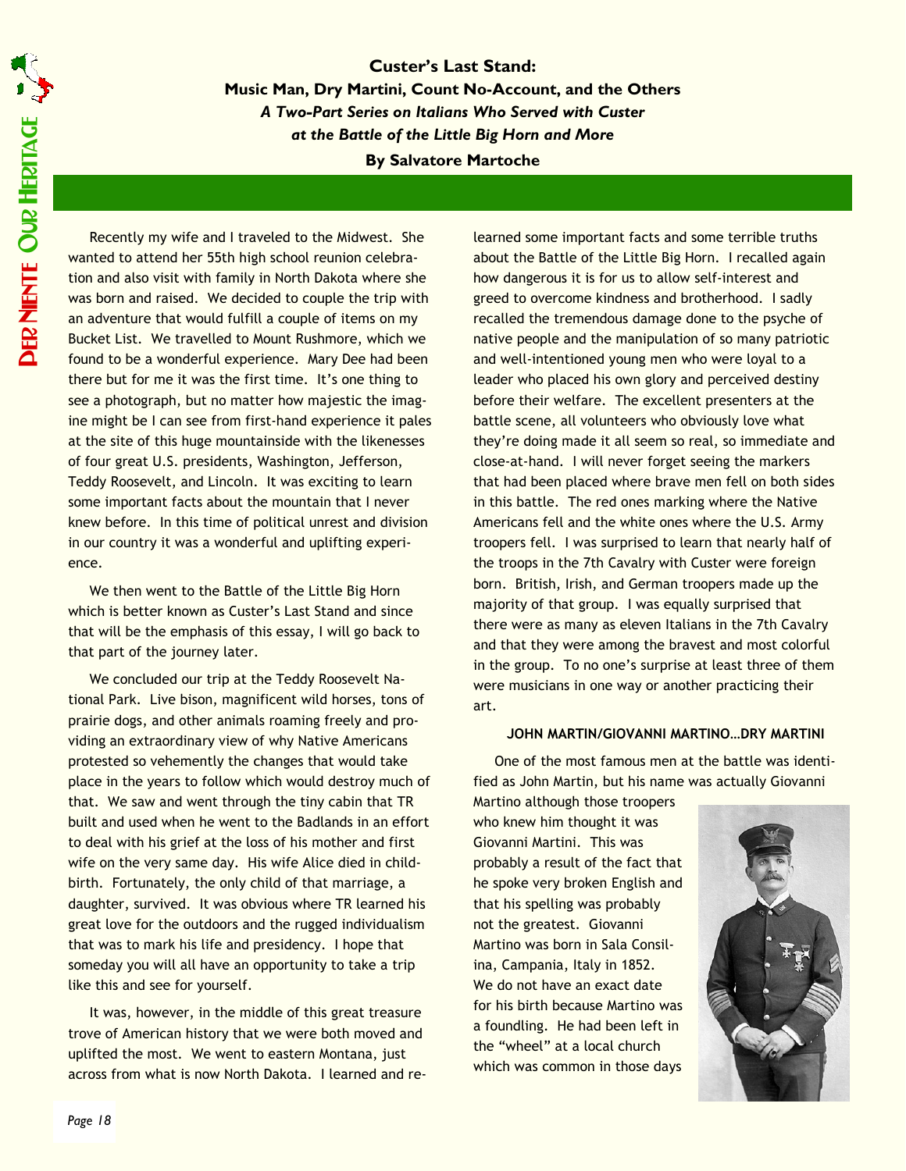Custer's Last Stand: Music Man, Dry Martini, Count No-Account, and the Others A Two-Part Series on Italians Who Served with Custer at the Battle of the Little Big Horn and More By Salvatore Martoche

Recently my wife and I traveled to the Midwest. She wanted to attend her 55th high school reunion celebration and also visit with family in North Dakota where she was born and raised. We decided to couple the trip with an adventure that would fulfill a couple of items on my Bucket List. We travelled to Mount Rushmore, which we found to be a wonderful experience. Mary Dee had been there but for me it was the first time. It's one thing to see a photograph, but no matter how majestic the imagine might be I can see from first-hand experience it pales at the site of this huge mountainside with the likenesses of four great U.S. presidents, Washington, Jefferson, Teddy Roosevelt, and Lincoln. It was exciting to learn some important facts about the mountain that I never knew before. In this time of political unrest and division in our country it was a wonderful and uplifting experience.

We then went to the Battle of the Little Big Horn which is better known as Custer's Last Stand and since that will be the emphasis of this essay, I will go back to that part of the journey later.

We concluded our trip at the Teddy Roosevelt National Park. Live bison, magnificent wild horses, tons of prairie dogs, and other animals roaming freely and providing an extraordinary view of why Native Americans protested so vehemently the changes that would take place in the years to follow which would destroy much of that. We saw and went through the tiny cabin that TR built and used when he went to the Badlands in an effort to deal with his grief at the loss of his mother and first wife on the very same day. His wife Alice died in childbirth. Fortunately, the only child of that marriage, a daughter, survived. It was obvious where TR learned his great love for the outdoors and the rugged individualism that was to mark his life and presidency. I hope that someday you will all have an opportunity to take a trip like this and see for yourself.

It was, however, in the middle of this great treasure trove of American history that we were both moved and uplifted the most. We went to eastern Montana, just across from what is now North Dakota. I learned and relearned some important facts and some terrible truths about the Battle of the Little Big Horn. I recalled again how dangerous it is for us to allow self-interest and greed to overcome kindness and brotherhood. I sadly recalled the tremendous damage done to the psyche of native people and the manipulation of so many patriotic and well-intentioned young men who were loyal to a leader who placed his own glory and perceived destiny before their welfare. The excellent presenters at the battle scene, all volunteers who obviously love what they're doing made it all seem so real, so immediate and close-at-hand. I will never forget seeing the markers that had been placed where brave men fell on both sides in this battle. The red ones marking where the Native Americans fell and the white ones where the U.S. Army troopers fell. I was surprised to learn that nearly half of the troops in the 7th Cavalry with Custer were foreign born. British, Irish, and German troopers made up the majority of that group. I was equally surprised that there were as many as eleven Italians in the 7th Cavalry and that they were among the bravest and most colorful in the group. To no one's surprise at least three of them were musicians in one way or another practicing their art.

## JOHN MARTIN/GIOVANNI MARTINO…DRY MARTINI

One of the most famous men at the battle was identified as John Martin, but his name was actually Giovanni

Martino although those troopers who knew him thought it was Giovanni Martini. This was probably a result of the fact that he spoke very broken English and that his spelling was probably not the greatest. Giovanni Martino was born in Sala Consilina, Campania, Italy in 1852. We do not have an exact date for his birth because Martino was a foundling. He had been left in the "wheel" at a local church which was common in those days